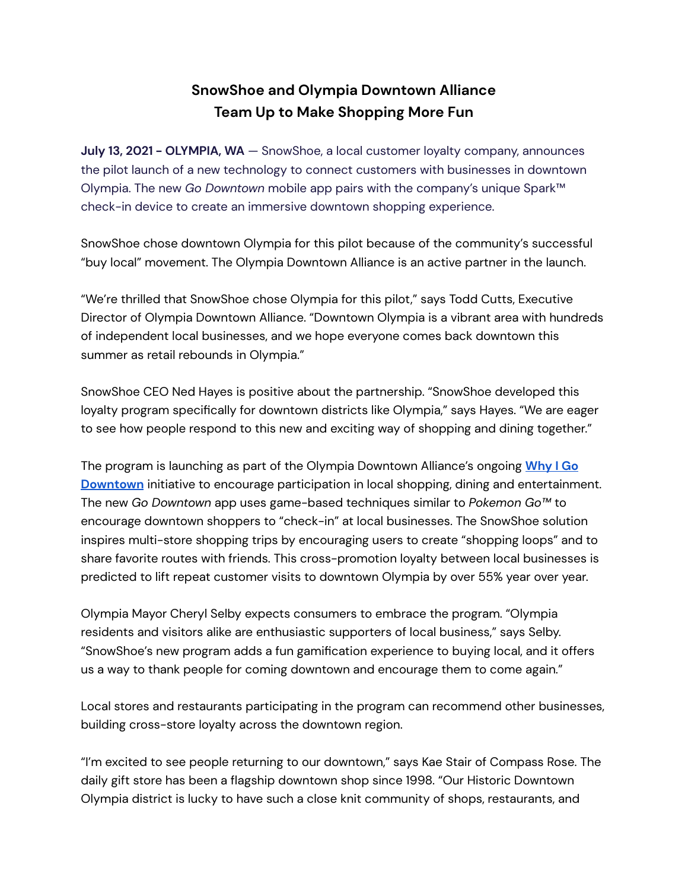# **SnowShoe and Olympia Downtown Alliance Team Up to Make Shopping More Fun**

**July 13, 2021 - OLYMPIA, WA** — SnowShoe, a local customer loyalty company, announces the pilot launch of a new technology to connect customers with businesses in downtown Olympia. The new *Go Downtown* mobile app pairs with the company's unique Spark™ check-in device to create an immersive downtown shopping experience.

SnowShoe chose downtown Olympia for this pilot because of the community's successful "buy local" movement. The Olympia Downtown Alliance is an active partner in the launch.

"We're thrilled that SnowShoe chose Olympia for this pilot," says Todd Cutts, Executive Director of Olympia Downtown Alliance. "Downtown Olympia is a vibrant area with hundreds of independent local businesses, and we hope everyone comes back downtown this summer as retail rebounds in Olympia."

SnowShoe CEO Ned Hayes is positive about the partnership. "SnowShoe developed this loyalty program specifically for downtown districts like Olympia," says Hayes. "We are eager to see how people respond to this new and exciting way of shopping and dining together."

The program is launching as part of the Olympia Downtown Alliance's ongoing **[Why](https://whyigodowntown.com/) I Go [Downtown](https://whyigodowntown.com/)** initiative to encourage participation in local shopping, dining and entertainment. The new *Go Downtown* app uses game-based techniques similar to *Pokemon Go™* to encourage downtown shoppers to "check-in" at local businesses. The SnowShoe solution inspires multi-store shopping trips by encouraging users to create "shopping loops" and to share favorite routes with friends. This cross-promotion loyalty between local businesses is predicted to lift repeat customer visits to downtown Olympia by over 55% year over year.

Olympia Mayor Cheryl Selby expects consumers to embrace the program. "Olympia residents and visitors alike are enthusiastic supporters of local business," says Selby. "SnowShoe's new program adds a fun gamification experience to buying local, and it offers us a way to thank people for coming downtown and encourage them to come again."

Local stores and restaurants participating in the program can recommend other businesses, building cross-store loyalty across the downtown region.

"I'm excited to see people returning to our downtown," says Kae Stair of Compass Rose. The daily gift store has been a flagship downtown shop since 1998. "Our Historic Downtown Olympia district is lucky to have such a close knit community of shops, restaurants, and